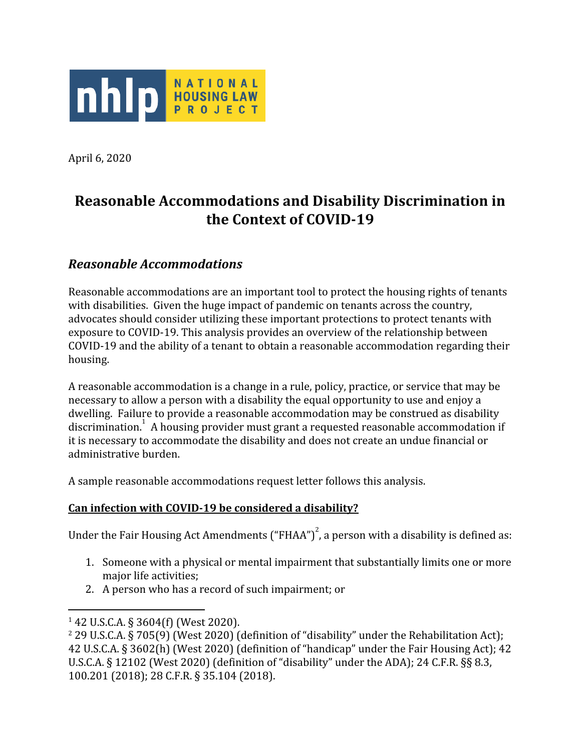

April 6, 2020

# **Reasonable Accommodations and Disability Discrimination in the Context of COVID-19**

## *Reasonable Accommodations*

Reasonable accommodations are an important tool to protect the housing rights of tenants with disabilities. Given the huge impact of pandemic on tenants across the country, advocates should consider utilizing these important protections to protect tenants with exposure to COVID-19. This analysis provides an overview of the relationship between COVID-19 and the ability of a tenant to obtain a reasonable accommodation regarding their housing.

A reasonable accommodation is a change in a rule, policy, practice, or service that may be necessary to allow a person with a disability the equal opportunity to use and enjoy a dwelling. Failure to provide a reasonable accommodation may be construed as disability discrimination. A housing provider must grant a requested reasonable accommodation if it is necessary to accommodate the disability and does not create an undue financial or administrative burden.

A sample reasonable accommodations request letter follows this analysis.

#### **Can infection with COVID-19 be considered a disability?**

Under the Fair Housing Act Amendments ("FHAA")<sup>2</sup>, a person with a disability is defined as:

- 1. Someone with a physical or mental impairment that substantially limits one or more major life activities;
- 2. A person who has a record of such impairment; or

<sup>1</sup> 42 U.S.C.A. § 3604(f) (West 2020).

<sup>2</sup> 29 U.S.C.A. § 705(9) (West 2020) (definition of "disability" under the Rehabilitation Act); 42 U.S.C.A. § 3602(h) (West 2020) (definition of "handicap" under the Fair Housing Act); 42 U.S.C.A. § 12102 (West 2020) (definition of "disability" under the ADA); 24 C.F.R. §§ 8.3, 100.201 (2018); 28 C.F.R. § 35.104 (2018).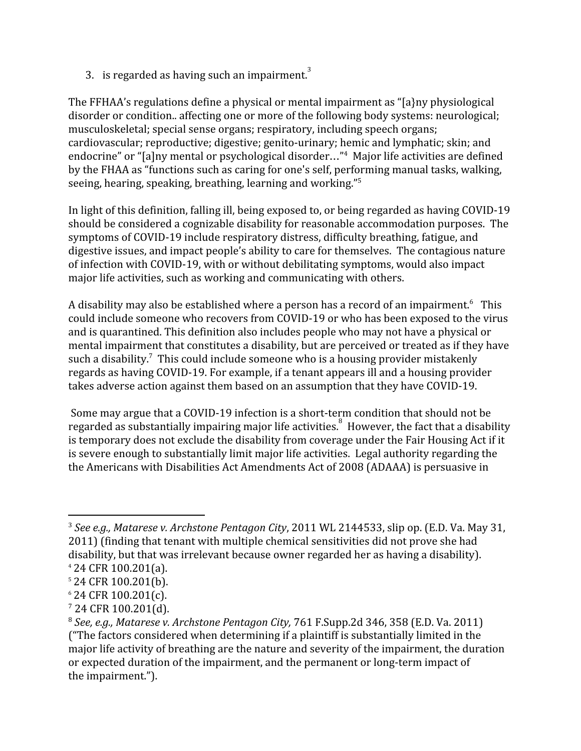3. is regarded as having such an impairment.<sup>3</sup>

The FFHAA's regulations define a physical or mental impairment as "[a}ny physiological disorder or condition.. affecting one or more of the following body systems: neurological; musculoskeletal; special sense organs; respiratory, including speech organs; cardiovascular; reproductive; digestive; genito-urinary; hemic and lymphatic; skin; and endocrine" or "[a]ny mental or psychological disorder..."<sup>4</sup> Major life activities are defined by the FHAA as "functions such as caring for one's self, performing manual tasks, walking, seeing, hearing, speaking, breathing, learning and working."<sup>5</sup>

In light of this definition, falling ill, being exposed to, or being regarded as having COVID-19 should be considered a cognizable disability for reasonable accommodation purposes. The symptoms of COVID-19 include respiratory distress, difficulty breathing, fatigue, and digestive issues, and impact people's ability to care for themselves. The contagious nature of infection with COVID-19, with or without debilitating symptoms, would also impact major life activities, such as working and communicating with others.

A disability may also be established where a person has a record of an impairment.<sup>6</sup> This could include someone who recovers from COVID-19 or who has been exposed to the virus and is quarantined. This definition also includes people who may not have a physical or mental impairment that constitutes a disability, but are perceived or treated as if they have such a disability.<sup>7</sup> This could include someone who is a housing provider mistakenly regards as having COVID-19. For example, if a tenant appears ill and a housing provider takes adverse action against them based on an assumption that they have COVID-19.

 Some may argue that a COVID-19 infection is a short-term condition that should not be regarded as substantially impairing major life activities.<sup>8</sup> However, the fact that a disability is temporary does not exclude the disability from coverage under the Fair Housing Act if it is severe enough to substantially limit major life activities. Legal authority regarding the the Americans with Disabilities Act Amendments Act of 2008 (ADAAA) is persuasive in

<sup>3</sup> *See e.g., Matarese v. Archstone Pentagon City*, 2011 WL 2144533, slip op. (E.D. Va. May 31, 2011) (finding that tenant with multiple chemical sensitivities did not prove she had disability, but that was irrelevant because owner regarded her as having a disability).

<sup>4</sup> 24 CFR 100.201(a).

<sup>5</sup> 24 CFR 100.201(b).

<sup>6</sup> 24 CFR 100.201(c).

<sup>7</sup> 24 CFR 100.201(d).

<sup>8</sup> *See, e.g., Matarese v. Archstone Pentagon City,* 761 F.Supp.2d 346, 358 (E.D. Va. 2011) ("The factors considered when determining if a plaintiff is substantially limited in the major life activity of breathing are the nature and severity of the impairment, the duration or expected duration of the impairment, and the permanent or long-term impact of the impairment.").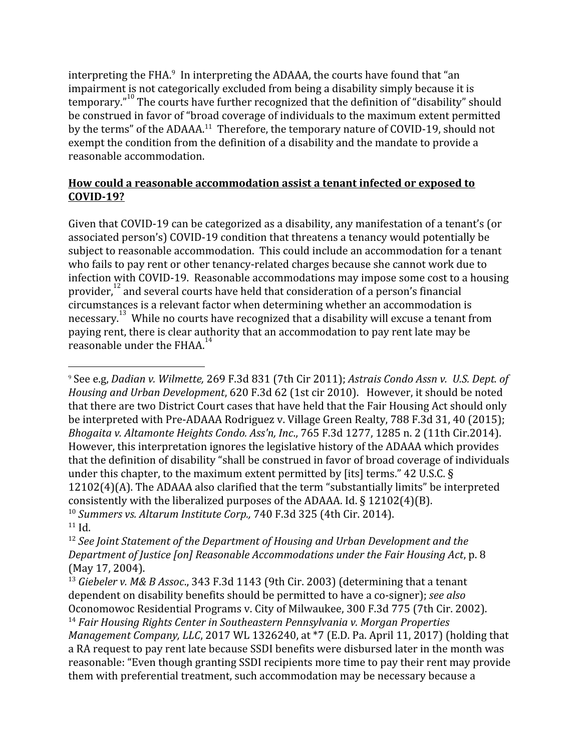interpreting the FHA. $\degree$  In interpreting the ADAAA, the courts have found that "an impairment is not categorically excluded from being a disability simply because it is temporary."<sup>10</sup> The courts have further recognized that the definition of "disability" should be construed in favor of "broad coverage of individuals to the maximum extent permitted by the terms" of the ADAAA.<sup>11</sup> Therefore, the temporary nature of COVID-19, should not exempt the condition from the definition of a disability and the mandate to provide a reasonable accommodation.

#### **How could a reasonable accommodation assist a tenant infected or exposed to COVID-19?**

Given that COVID-19 can be categorized as a disability, any manifestation of a tenant's (or associated person's) COVID-19 condition that threatens a tenancy would potentially be subject to reasonable accommodation. This could include an accommodation for a tenant who fails to pay rent or other tenancy-related charges because she cannot work due to infection with COVID-19. Reasonable accommodations may impose some cost to a housing provider, $^{12}$  and several courts have held that consideration of a person's financial circumstances is a relevant factor when determining whether an accommodation is necessary.<sup>13</sup> While no courts have recognized that a disability will excuse a tenant from paying rent, there is clear authority that an accommodation to pay rent late may be reasonable under the FHAA.<sup>1</sup>

<sup>9</sup> See e.g, *Dadian v. Wilmette,* 269 F.3d 831 (7th Cir 2011); *Astrais Condo Assn v. U.S. Dept. of Housing and Urban Development*, 620 F.3d 62 (1st cir 2010). However, it should be noted that there are two District Court cases that have held that the Fair Housing Act should only be interpreted with Pre-ADAAA Rodriguez v. Village Green Realty, 788 F.3d 31, 40 (2015); *Bhogaita v. Altamonte Heights Condo. Ass'n, Inc*., 765 F.3d 1277, 1285 n. 2 (11th Cir.2014). However, this interpretation ignores the legislative history of the ADAAA which provides that the definition of disability "shall be construed in favor of broad coverage of individuals under this chapter, to the maximum extent permitted by [its] terms." 42 U.S.C. § 12102(4)(A). The ADAAA also clarified that the term "substantially limits" be interpreted consistently with the liberalized purposes of the ADAAA. Id. § 12102(4)(B). <sup>10</sup> *Summers vs. Altarum Institute Corp.,* 740 F.3d 325 (4th Cir. 2014).  $11$  Id.

<sup>12</sup> *See Joint Statement of the Department of Housing and Urban Development and the Department of Justice [on] Reasonable Accommodations under the Fair Housing Act*, p. 8 (May 17, 2004).

<sup>13</sup> *Giebeler v. M& B Assoc*., 343 F.3d 1143 (9th Cir. 2003) (determining that a tenant dependent on disability benefits should be permitted to have a co-signer); *see also* Oconomowoc Residential Programs v. City of Milwaukee, 300 F.3d 775 (7th Cir. 2002). <sup>14</sup> *Fair Housing Rights Center in Southeastern Pennsylvania v. Morgan Properties Management Company, LLC*, 2017 WL 1326240, at \*7 (E.D. Pa. April 11, 2017) (holding that a RA request to pay rent late because SSDI benefits were disbursed later in the month was reasonable: "Even though granting SSDI recipients more time to pay their rent may provide them with preferential treatment, such accommodation may be necessary because a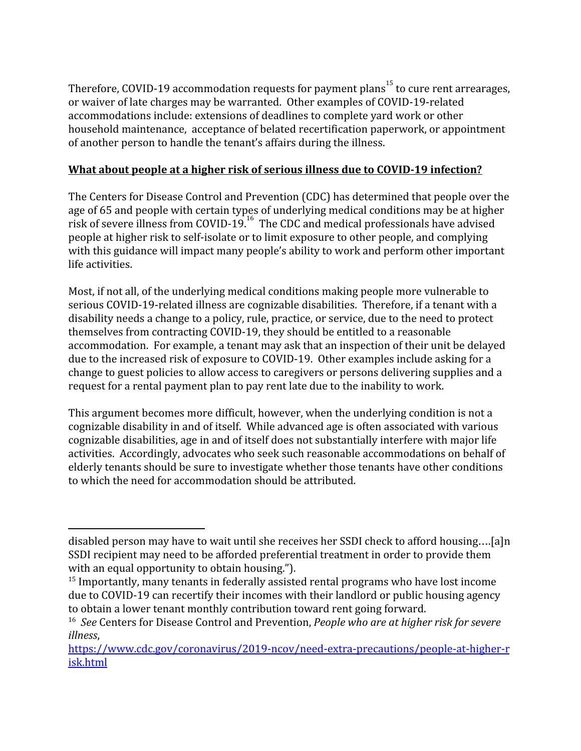Therefore, COVID-19 accommodation requests for payment plans $^{\rm 15}$  to cure rent arrearages, or waiver of late charges may be warranted. Other examples of COVID-19-related accommodations include: extensions of deadlines to complete yard work or other household maintenance, acceptance of belated recertification paperwork, or appointment of another person to handle the tenant's affairs during the illness.

### **What about people at a higher risk of serious illness due to COVID-19 infection?**

The Centers for Disease Control and Prevention (CDC) has determined that people over the age of 65 and people with certain types of underlying medical conditions may be at higher risk of severe illness from COVID-19.<sup>16</sup> The CDC and medical professionals have advised people at higher risk to self-isolate or to limit exposure to other people, and complying with this guidance will impact many people's ability to work and perform other important life activities.

Most, if not all, of the underlying medical conditions making people more vulnerable to serious COVID-19-related illness are cognizable disabilities. Therefore, if a tenant with a disability needs a change to a policy, rule, practice, or service, due to the need to protect themselves from contracting COVID-19, they should be entitled to a reasonable accommodation. For example, a tenant may ask that an inspection of their unit be delayed due to the increased risk of exposure to COVID-19. Other examples include asking for a change to guest policies to allow access to caregivers or persons delivering supplies and a request for a rental payment plan to pay rent late due to the inability to work.

This argument becomes more difficult, however, when the underlying condition is not a cognizable disability in and of itself. While advanced age is often associated with various cognizable disabilities, age in and of itself does not substantially interfere with major life activities. Accordingly, advocates who seek such reasonable accommodations on behalf of elderly tenants should be sure to investigate whether those tenants have other conditions to which the need for accommodation should be attributed.

disabled person may have to wait until she receives her SSDI check to afford housing….[a]n SSDI recipient may need to be afforded preferential treatment in order to provide them with an equal opportunity to obtain housing.").

<sup>&</sup>lt;sup>15</sup> Importantly, many tenants in federally assisted rental programs who have lost income due to COVID-19 can recertify their incomes with their landlord or public housing agency to obtain a lower tenant monthly contribution toward rent going forward.

<sup>16</sup> *See* Centers for Disease Control and Prevention, *People who are at higher risk for severe illness*,

[https://www.cdc.gov/coronavirus/2019-ncov/need-extra-precautions/people-at-higher-r](https://www.cdc.gov/coronavirus/2019-ncov/need-extra-precautions/people-at-higher-risk.html) [isk.html](https://www.cdc.gov/coronavirus/2019-ncov/need-extra-precautions/people-at-higher-risk.html)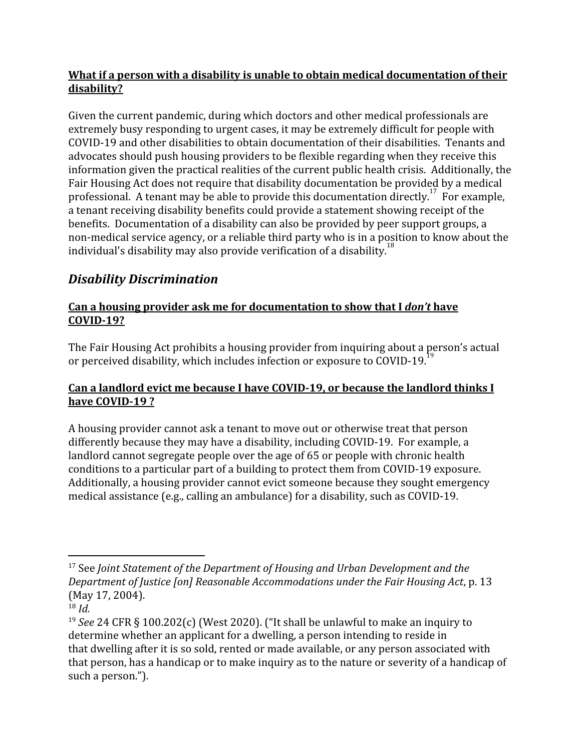#### **What if a person with a disability is unable to obtain medical documentation of their disability?**

Given the current pandemic, during which doctors and other medical professionals are extremely busy responding to urgent cases, it may be extremely difficult for people with COVID-19 and other disabilities to obtain documentation of their disabilities. Tenants and advocates should push housing providers to be flexible regarding when they receive this information given the practical realities of the current public health crisis. Additionally, the Fair Housing Act does not require that disability documentation be provided by a medical professional. A tenant may be able to provide this documentation directly.<sup>17</sup> For example, a tenant receiving disability benefits could provide a statement showing receipt of the benefits. Documentation of a disability can also be provided by peer support groups, a non-medical service agency, or a reliable third party who is in a position to know about the individual's disability may also provide verification of a disability.<sup>18</sup>

# *Disability Discrimination*

#### **Can a housing provider ask me for documentation to show that I** *don't* **have COVID-19?**

The Fair Housing Act prohibits a housing provider from inquiring about a person's actual or perceived disability, which includes infection or exposure to COVID-19.<sup>1</sup>

### **Can a landlord evict me because I have COVID-19, or because the landlord thinks I have COVID-19 ?**

A housing provider cannot ask a tenant to move out or otherwise treat that person differently because they may have a disability, including COVID-19. For example, a landlord cannot segregate people over the age of 65 or people with chronic health conditions to a particular part of a building to protect them from COVID-19 exposure. Additionally, a housing provider cannot evict someone because they sought emergency medical assistance (e.g., calling an ambulance) for a disability, such as COVID-19.

<sup>17</sup> See *Joint Statement of the Department of Housing and Urban Development and the Department of Justice [on] Reasonable Accommodations under the Fair Housing Act*, p. 13 (May 17, 2004).

<sup>18</sup> *Id.*

<sup>19</sup> *See* 24 CFR § 100.202(c) (West 2020). ("It shall be unlawful to make an inquiry to determine whether an applicant for a [dwelling,](https://www.law.cornell.edu/definitions/index.php?width=840&height=800&iframe=true&def_id=8b1ea4519d1c12b75942e6701a0a5c7e&term_occur=999&term_src=Title:24:Subtitle:B:Chapter:I:Subchapter:A:Part:100:Subpart:D:100.202) a [person](https://www.law.cornell.edu/definitions/index.php?width=840&height=800&iframe=true&def_id=983c1355c294cd37ac853aac58a6d9c0&term_occur=999&term_src=Title:24:Subtitle:B:Chapter:I:Subchapter:A:Part:100:Subpart:D:100.202) intending to reside in that [dwelling](https://www.law.cornell.edu/definitions/index.php?width=840&height=800&iframe=true&def_id=8b1ea4519d1c12b75942e6701a0a5c7e&term_occur=999&term_src=Title:24:Subtitle:B:Chapter:I:Subchapter:A:Part:100:Subpart:D:100.202) after it is so sold, rented or made available, or any [person](https://www.law.cornell.edu/definitions/index.php?width=840&height=800&iframe=true&def_id=983c1355c294cd37ac853aac58a6d9c0&term_occur=999&term_src=Title:24:Subtitle:B:Chapter:I:Subchapter:A:Part:100:Subpart:D:100.202) associated with that [person,](https://www.law.cornell.edu/definitions/index.php?width=840&height=800&iframe=true&def_id=983c1355c294cd37ac853aac58a6d9c0&term_occur=999&term_src=Title:24:Subtitle:B:Chapter:I:Subchapter:A:Part:100:Subpart:D:100.202) has a [handicap](https://www.law.cornell.edu/definitions/index.php?width=840&height=800&iframe=true&def_id=3fe0d8fbbce883abf3d6f7d7fe9532b5&term_occur=999&term_src=Title:24:Subtitle:B:Chapter:I:Subchapter:A:Part:100:Subpart:D:100.202) or to make inquiry as to the nature or severity of a [handicap](https://www.law.cornell.edu/definitions/index.php?width=840&height=800&iframe=true&def_id=3fe0d8fbbce883abf3d6f7d7fe9532b5&term_occur=999&term_src=Title:24:Subtitle:B:Chapter:I:Subchapter:A:Part:100:Subpart:D:100.202) of such a [person](https://www.law.cornell.edu/definitions/index.php?width=840&height=800&iframe=true&def_id=983c1355c294cd37ac853aac58a6d9c0&term_occur=999&term_src=Title:24:Subtitle:B:Chapter:I:Subchapter:A:Part:100:Subpart:D:100.202).").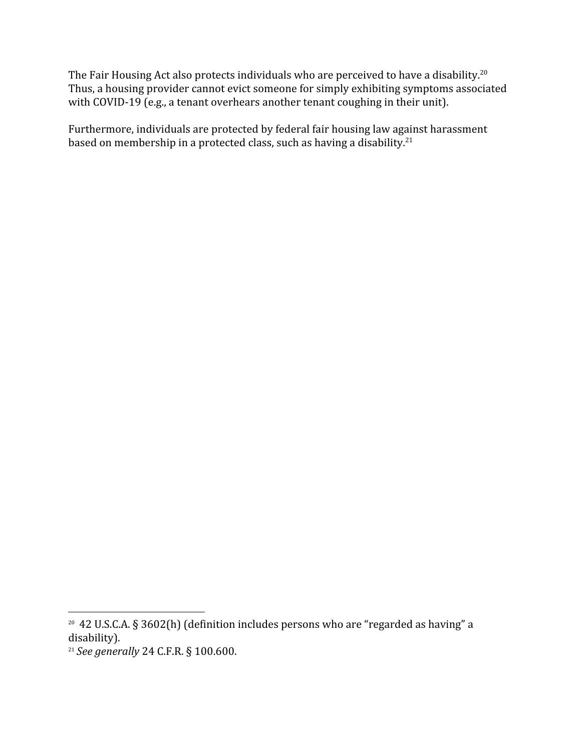The Fair Housing Act also protects individuals who are perceived to have a disability.<sup>20</sup> Thus, a housing provider cannot evict someone for simply exhibiting symptoms associated with COVID-19 (e.g., a tenant overhears another tenant coughing in their unit).

Furthermore, individuals are protected by federal fair housing law against harassment based on membership in a protected class, such as having a disability.<sup>21</sup>

<sup>20</sup> 42 U.S.C.A. § 3602(h) (definition includes persons who are "regarded as having" a disability).

<sup>21</sup> *See generally* 24 C.F.R. § 100.600.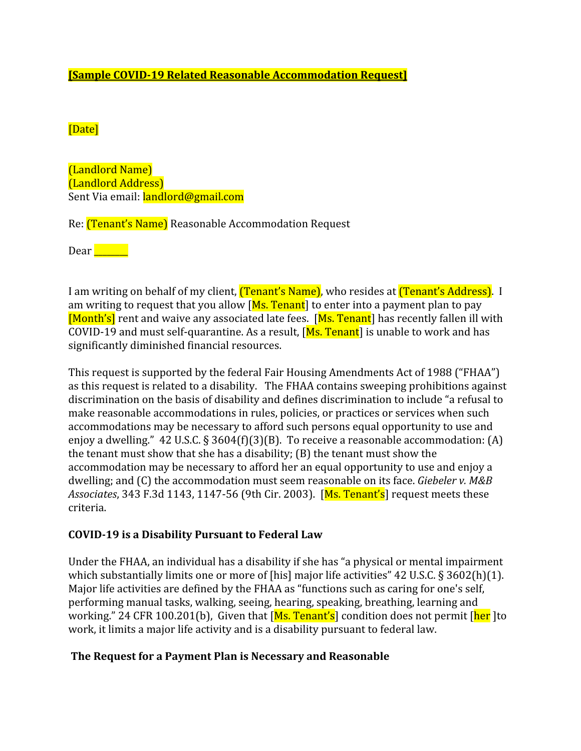#### **[Sample COVID-19 Related Reasonable Accommodation Request]**

#### [Date]

(Landlord Name) (Landlord Address) Sent Via email: landlord@gmail.com

Re: (Tenant's Name) Reasonable Accommodation Request

 $\text{Dear}$   $\Box$ 

I am writing on behalf of my client, *(Tenant's Name)*, who resides at *(Tenant's Address)*. I am writing to request that you allow  $[Ms. Tenant]$  to enter into a payment plan to pay [Month's] rent and waive any associated late fees. [Ms. Tenant] has recently fallen ill with COVID-19 and must self-quarantine. As a result,  $[Ms. Tenant]$  is unable to work and has significantly diminished financial resources.

This request is supported by the federal Fair Housing Amendments Act of 1988 ("FHAA") as this request is related to a disability. The FHAA contains sweeping prohibitions against discrimination on the basis of disability and defines discrimination to include "a refusal to make reasonable accommodations in rules, policies, or practices or services when such accommodations may be necessary to afford such persons equal opportunity to use and enjoy a dwelling." 42 U.S.C. § 3604(f)(3)(B). To receive a reasonable accommodation: (A) the tenant must show that she has a disability; (B) the tenant must show the accommodation may be necessary to afford her an equal opportunity to use and enjoy a dwelling; and (C) the accommodation must seem reasonable on its face. *Giebeler v. M&B Associates*, 343 F.3d 1143, 1147-56 (9th Cir. 2003). [Ms. Tenant's] request meets these criteria.

#### **COVID-19 is a Disability Pursuant to Federal Law**

Under the FHAA, an individual has a disability if she has "a physical or mental impairment which substantially limits one or more of [his] major life activities" 42 U.S.C. § 3602(h)(1). Major life activities are defined by the FHAA as "functions such as caring for one's self, performing manual tasks, walking, seeing, hearing, speaking, breathing, learning and working." 24 CFR 100.201(b), Given that [Ms. Tenant's] condition does not permit [her ]to work, it limits a major life activity and is a disability pursuant to federal law.

#### **The Request for a Payment Plan is Necessary and Reasonable**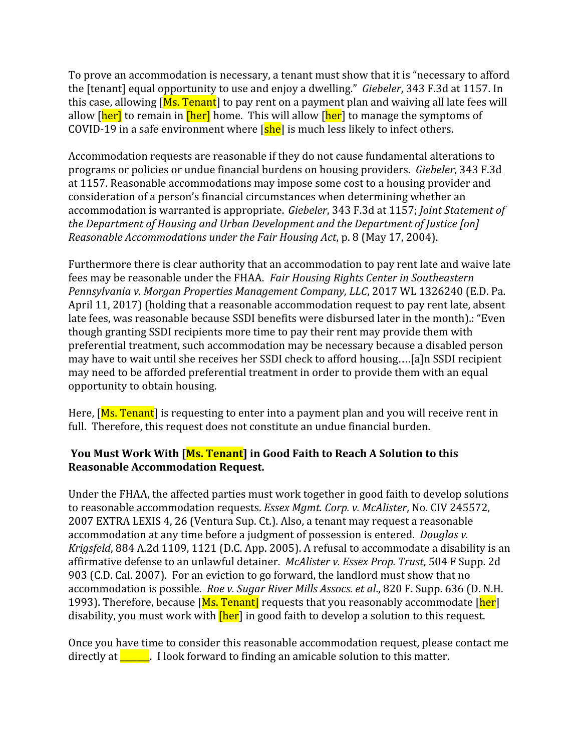To prove an accommodation is necessary, a tenant must show that it is "necessary to afford the [tenant] equal opportunity to use and enjoy a dwelling." *Giebeler*, 343 F.3d at 1157. In this case, allowing  $[Ms, Tennat]$  to pay rent on a payment plan and waiving all late fees will allow [her] to remain in [her] home. This will allow [her] to manage the symptoms of COVID-19 in a safe environment where  $\sqrt{|\text{she}|}$  is much less likely to infect others.

Accommodation requests are reasonable if they do not cause fundamental alterations to programs or policies or undue financial burdens on housing providers. *Giebeler*, 343 F.3d at 1157. Reasonable accommodations may impose some cost to a housing provider and consideration of a person's financial circumstances when determining whether an accommodation is warranted is appropriate. *Giebeler*, 343 F.3d at 1157; *Joint Statement of the Department of Housing and Urban Development and the Department of Justice [on] Reasonable Accommodations under the Fair Housing Act*, p. 8 (May 17, 2004).

Furthermore there is clear authority that an accommodation to pay rent late and waive late fees may be reasonable under the FHAA. *Fair Housing Rights Center in Southeastern Pennsylvania v. Morgan Properties Management Company, LLC*, 2017 WL 1326240 (E.D. Pa. April 11, 2017) (holding that a reasonable accommodation request to pay rent late, absent late fees, was reasonable because SSDI benefits were disbursed later in the month).: "Even though granting SSDI recipients more time to pay their rent may provide them with preferential treatment, such accommodation may be necessary because a disabled person may have to wait until she receives her SSDI check to afford housing….[a]n SSDI recipient may need to be afforded preferential treatment in order to provide them with an equal opportunity to obtain housing.

Here,  $[Ms. Tennant]$  is requesting to enter into a payment plan and you will receive rent in full. Therefore, this request does not constitute an undue financial burden.

#### **You Must Work With [Ms. Tenant] in Good Faith to Reach A Solution to this Reasonable Accommodation Request.**

Under the FHAA, the affected parties must work together in good faith to develop solutions to reasonable accommodation requests. *Essex Mgmt. Corp. v. McAlister*, No. CIV 245572, 2007 EXTRA LEXIS 4, 26 (Ventura Sup. Ct.). Also, a tenant may request a reasonable accommodation at any time before a judgment of possession is entered. *Douglas v. Krigsfeld*, 884 A.2d 1109, 1121 (D.C. App. 2005). A refusal to accommodate a disability is an affirmative defense to an unlawful detainer. *McAlister v. Essex Prop. Trust*, 504 F Supp. 2d 903 (C.D. Cal. 2007). For an eviction to go forward, the landlord must show that no accommodation is possible. *Roe v. Sugar River Mills Assocs. et al*., 820 F. Supp. 636 (D. N.H. 1993). Therefore, because [Ms. Tenant] requests that you reasonably accommodate [her] disability, you must work with **[her**] in good faith to develop a solution to this request.

Once you have time to consider this reasonable accommodation request, please contact me directly at  $\frac{1}{\sqrt{1-\frac{1}{\sqrt{1-\frac{1}{\sqrt{1-\frac{1}{\sqrt{1-\frac{1}{\sqrt{1-\frac{1}{\sqrt{1-\frac{1}{\sqrt{1-\frac{1}{\sqrt{1-\frac{1}{\sqrt{1-\frac{1}{\sqrt{1-\frac{1}{\sqrt{1-\frac{1}{\sqrt{1-\frac{1}{\sqrt{1-\frac{1}{\sqrt{1-\frac{1}{\sqrt{1-\frac{1}{\sqrt{1-\frac{1}{\sqrt{1-\frac{1}{\sqrt{1-\frac{1}{\sqrt{1-\frac{1}{\sqrt{1-\frac{1}{\sqrt{1-\frac{1}{\sqrt{1-\frac{1}{\sqrt{1-\$